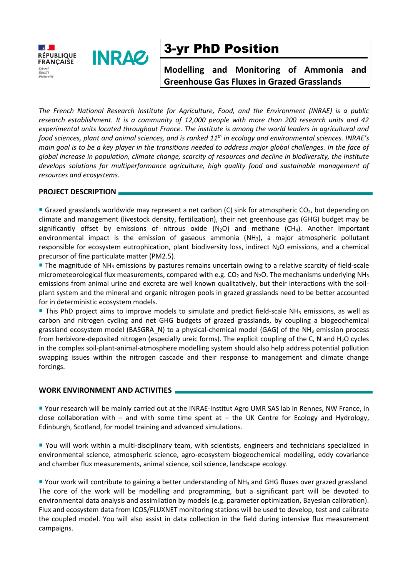

# 3-yr PhD Position

**Modelling and Monitoring of Ammonia and Greenhouse Gas Fluxes in Grazed Grasslands**

*The French National Research Institute for Agriculture, Food, and the Environment (INRAE) is a public research establishment. It is a community of 12,000 people with more than 200 research units and 42 experimental units located throughout France. The institute is among the world leaders in agricultural and food sciences, plant and animal sciences, and is ranked 11th in ecology and environmental sciences. INRAE's main goal is to be a key player in the transitions needed to address major global challenges. In the face of global increase in population, climate change, scarcity of resources and decline in biodiversity, the institute develops solutions for multiperformance agriculture, high quality food and sustainable management of resources and ecosystems.*

### **PROJECT DESCRIPTION**

Grazed grasslands worldwide may represent a net carbon (C) sink for atmospheric CO<sub>2</sub>, but depending on climate and management (livestock density, fertilization), their net greenhouse gas (GHG) budget may be significantly offset by emissions of nitrous oxide  $(N_2O)$  and methane  $(CH_4)$ . Another important environmental impact is the emission of gaseous ammonia (NH3), a major atmospheric pollutant responsible for ecosystem eutrophication, plant biodiversity loss, indirect N2O emissions, and a chemical precursor of fine particulate matter (PM2.5).

**The magnitude of NH<sub>3</sub> emissions by pastures remains uncertain owing to a relative scarcity of field-scale** micrometeorological flux measurements, compared with e.g.  $CO<sub>2</sub>$  and N<sub>2</sub>O. The mechanisms underlying NH<sub>3</sub> emissions from animal urine and excreta are well known qualitatively, but their interactions with the soilplant system and the mineral and organic nitrogen pools in grazed grasslands need to be better accounted for in deterministic ecosystem models.

**This PhD project aims to improve models to simulate and predict field-scale NH<sub>3</sub> emissions, as well as** carbon and nitrogen cycling and net GHG budgets of grazed grasslands, by coupling a biogeochemical grassland ecosystem model (BASGRA\_N) to a physical-chemical model (GAG) of the NH<sub>3</sub> emission process from herbivore-deposited nitrogen (especially ureic forms). The explicit coupling of the C, N and H2O cycles in the complex soil-plant-animal-atmosphere modelling system should also help address potential pollution swapping issues within the nitrogen cascade and their response to management and climate change forcings.

### **WORK ENVIRONMENT AND ACTIVITIES**

 Your research will be mainly carried out at the INRAE-Institut Agro UMR SAS lab in Rennes, NW France, in close collaboration with – and with some time spent at – the UK Centre for Ecology and Hydrology, Edinburgh, Scotland, for model training and advanced simulations.

 You will work within a multi-disciplinary team, with scientists, engineers and technicians specialized in environmental science, atmospheric science, agro-ecosystem biogeochemical modelling, eddy covariance and chamber flux measurements, animal science, soil science, landscape ecology.

■ Your work will contribute to gaining a better understanding of NH<sub>3</sub> and GHG fluxes over grazed grassland. The core of the work will be modelling and programming, but a significant part will be devoted to environmental data analysis and assimilation by models (e.g. parameter optimization, Bayesian calibration). Flux and ecosystem data from ICOS/FLUXNET monitoring stations will be used to develop, test and calibrate the coupled model. You will also assist in data collection in the field during intensive flux measurement campaigns.